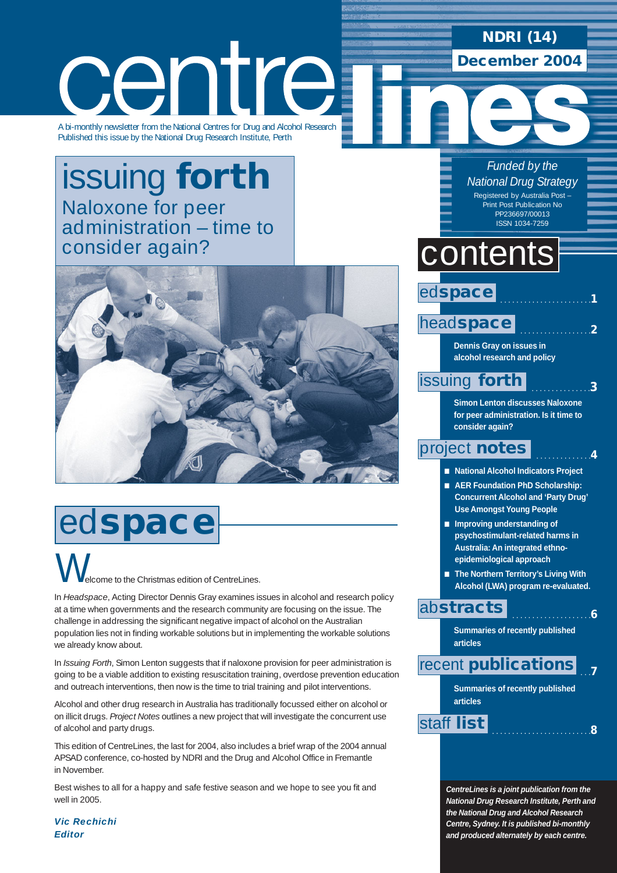### **NDRI (14) December 2004**

centre A bi-monthly newsletter from the National Centres for Drug and Alcohol Research

Published this issue by the National Drug Research Institute, Perth

## issuing **forth** Naloxone for peer [administration – time to](#page-2-0) consider again?



## ed**space**

Icome to the Christmas edition of CentreLines.  $\bigvee$ 

In *Headspace*, Acting Director Dennis Gray examines issues in alcohol and research policy at a time when governments and the research community are focusing on the issue. The challenge in addressing the significant negative impact of alcohol on the Australian population lies not in finding workable solutions but in implementing the workable solutions we already know about.

In *Issuing Forth*, Simon Lenton suggests that if naloxone provision for peer administration is going to be a viable addition to existing resuscitation training, overdose prevention education and outreach interventions, then now is the time to trial training and pilot interventions.

Alcohol and other drug research in Australia has traditionally focussed either on alcohol or on illicit drugs. *Project Notes* outlines a new project that will investigate the concurrent use of alcohol and party drugs.

This edition of CentreLines, the last for 2004, also includes a brief wrap of the 2004 annual APSAD conference, co-hosted by NDRI and the Drug and Alcohol Office in Fremantle in November.

Best wishes to all for a happy and safe festive season and we hope to see you fit and well in 2005.

*Vic Rechichi Editor*

*Funded by the National Drug Strategy* Registered by Australia Post – Print Post Publication No PP236697/00013 ISSN 1034-7259

. . . . . . . . . . . . . . . . . . . . . . .**1**

. . . . . . . . . . . . . .**4**

. . . . . . . . . . . . . . . . . . . .**6**

## contents

ed**space**

 . . . . . . . . . . . . . . . . . .**2** head**[space](#page-1-0)**

> **Dennis Gray on issues in alcohol research and policy**

#### . . . . . . . . . . . . . . .**3** [issuing](#page-2-0) **forth**

**Simon Lenton discusses Naloxone for peer administration. Is it time to consider again?**

### [project](#page-3-0) **notes**

■ **National Alcohol Indicators Project**

- **AER Foundation PhD Scholarship: Concurrent Alcohol and 'Party Drug' Use Amongst Young People**
- **Improving understanding of psychostimulant-related harms in Australia: An integrated ethnoepidemiological approach**
- **The Northern Territory's Living With Alcohol (LWA) program re-evaluated.**

### ab**[stracts](#page-5-0)**

**Summaries of recently published articles**

#### . . .**7** recent **[publications](#page-6-0)**

**Summaries of recently published articles**

. . . . . . . . . . . . . . . . . . . . . . . . .**<sup>8</sup>** [staff](#page-7-0) **list**

*CentreLines is a joint publication from the National Drug Research Institute, Perth and the National Drug and Alcohol Research Centre, Sydney. It is published bi-monthly and produced alternately by each centre.*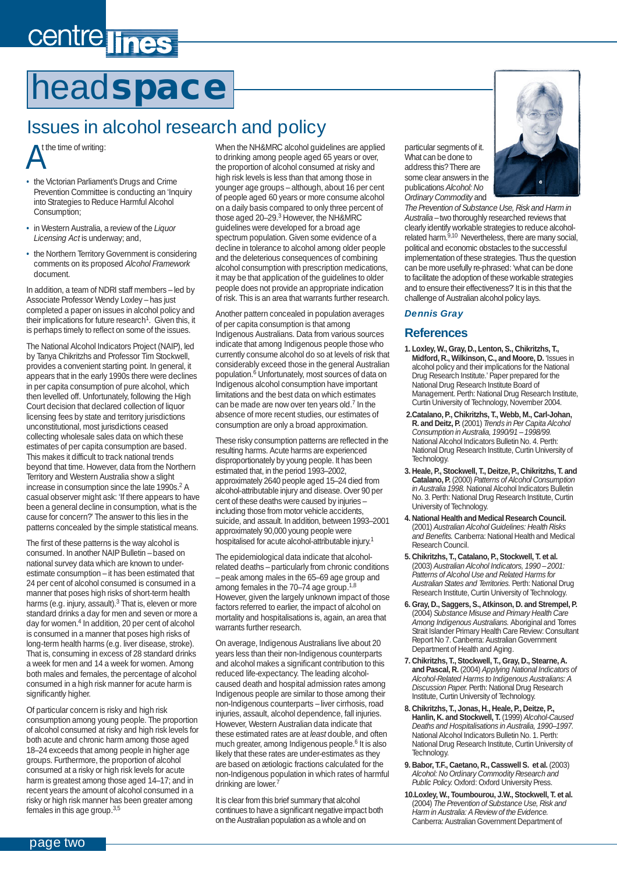# <span id="page-1-0"></span>centre lines

## head**space**

### Issues in alcohol research and policy

 $\mathcal{A}^n$ t the time of writing:

- the Victorian Parliament's Drugs and Crime Prevention Committee is conducting an 'Inquiry into Strategies to Reduce Harmful Alcohol Consumption;
- in Western Australia, a review of the *Liquor Licensing Act* is underway; and,
- the Northern Territory Government is considering comments on its proposed *Alcohol Framework* document.

In addition, a team of NDRI staff members – led by Associate Professor Wendy Loxley – has just completed a paper on issues in alcohol policy and their implications for future research<sup>1</sup>. Given this, it is perhaps timely to reflect on some of the issues.

The National Alcohol Indicators Project (NAIP), led by Tanya Chikritzhs and Professor Tim Stockwell, provides a convenient starting point. In general, it appears that in the early 1990s there were declines in per capita consumption of pure alcohol, which then levelled off. Unfortunately, following the High Court decision that declared collection of liquor licensing fees by state and territory jurisdictions unconstitutional, most jurisdictions ceased collecting wholesale sales data on which these estimates of per capita consumption are based. This makes it difficult to track national trends beyond that time. However, data from the Northern Territory and Western Australia show a slight increase in consumption since the late 1990s.<sup>2</sup> A casual observer might ask: 'If there appears to have been a general decline in consumption, what is the cause for concern?' The answer to this lies in the patterns concealed by the simple statistical means.

The first of these patterns is the way alcohol is consumed. In another NAIP Bulletin – based on national survey data which are known to underestimate consumption – it has been estimated that 24 per cent of alcohol consumed is consumed in a manner that poses high risks of short-term health harms (e.g. injury, assault).<sup>3</sup> That is, eleven or more standard drinks a day for men and seven or more a day for women.4 In addition, 20 per cent of alcohol is consumed in a manner that poses high risks of long-term health harms (e.g. liver disease, stroke). That is, consuming in excess of 28 standard drinks a week for men and 14 a week for women. Among both males and females, the percentage of alcohol consumed in a high risk manner for acute harm is significantly higher.

Of particular concern is risky and high risk consumption among young people. The proportion of alcohol consumed at risky and high risk levels for both acute and chronic harm among those aged 18–24 exceeds that among people in higher age groups. Furthermore, the proportion of alcohol consumed at a risky or high risk levels for acute harm is greatest among those aged 14–17; and in recent years the amount of alcohol consumed in a risky or high risk manner has been greater among females in this age group.3,5

When the NH&MRC alcohol guidelines are applied to drinking among people aged 65 years or over, the proportion of alcohol consumed at risky and high risk levels is less than that among those in younger age groups – although, about 16 per cent of people aged 60 years or more consume alcohol on a daily basis compared to only three percent of those aged 20–29.3 However, the NH&MRC guidelines were developed for a broad age spectrum population. Given some evidence of a decline in tolerance to alcohol among older people and the deleterious consequences of combining alcohol consumption with prescription medications, it may be that application of the guidelines to older people does not provide an appropriate indication of risk. This is an area that warrants further research.

Another pattern concealed in population averages of per capita consumption is that among Indigenous Australians. Data from various sources indicate that among Indigenous people those who currently consume alcohol do so at levels of risk that considerably exceed those in the general Australian population.<sup>6</sup> Unfortunately, most sources of data on Indigenous alcohol consumption have important limitations and the best data on which estimates can be made are now over ten years old.<sup>7</sup> In the absence of more recent studies, our estimates of consumption are only a broad approximation.

These risky consumption patterns are reflected in the resulting harms. Acute harms are experienced disproportionately by young people. It has been estimated that, in the period 1993–2002, approximately 2640 people aged 15–24 died from alcohol-attributable injury and disease. Over 90 per cent of these deaths were caused by injuries – including those from motor vehicle accidents, suicide, and assault. In addition, between 1993–2001 approximately 90,000 young people were hospitalised for acute alcohol-attributable injury.1

The epidemiological data indicate that alcoholrelated deaths – particularly from chronic conditions – peak among males in the 65–69 age group and among females in the 70–74 age group.<sup>1,8</sup> However, given the largely unknown impact of those factors referred to earlier, the impact of alcohol on mortality and hospitalisations is, again, an area that warrants further research.

On average, Indigenous Australians live about 20 years less than their non-Indigenous counterparts and alcohol makes a significant contribution to this reduced life-expectancy. The leading alcoholcaused death and hospital admission rates among Indigenous people are similar to those among their non-Indigenous counterparts – liver cirrhosis, road injuries, assault, alcohol dependence, fall injuries. However, Western Australian data indicate that these estimated rates are at *least* double, and often much greater, among Indigenous people.<sup>6</sup> It is also likely that these rates are under-estimates as they are based on ætiologic fractions calculated for the non-Indigenous population in which rates of harmful drinking are lower.<sup>7</sup>

It is clear from this brief summary that alcohol continues to have a significant negative impact both on the Australian population as a whole and on

particular segments of it. What can be done to address this? There are some clear answers in the publications *Alcohol: No Ordinary Commodity* and



*The Prevention of Substance Use, Risk and Harm in Australia* – two thoroughly researched reviews that clearly identify workable strategies to reduce alcoholrelated harm.<sup>9,10</sup> Nevertheless, there are many social, political and economic obstacles to the successful implementation of these strategies. Thus the question can be more usefully re-phrased: 'what can be done to facilitate the adoption of these workable strategies and to ensure their effectiveness?' It is in this that the challenge of Australian alcohol policy lays.

### *Dennis Gray*

### **References**

- **1. Loxley, W., Gray, D., Lenton, S., Chikritzhs, T., Midford, R., Wilkinson, C., and Moore, D.** 'Issues in alcohol policy and their implications for the National Drug Research Institute.' Paper prepared for the National Drug Research Institute Board of Management. Perth: National Drug Research Institute, Curtin University of Technology, November 2004.
- **2.Catalano, P., Chikritzhs, T., Webb, M., Carl-Johan, R. and Deitz, P.** (2001) *Trends in Per Capita Alcohol Consumption in Australia, 1990/91 – 1998/99.* National Alcohol Indicators Bulletin No. 4. Perth: National Drug Research Institute, Curtin University of **Technology**
- **3. Heale, P., Stockwell, T., Deitze, P., Chikritzhs, T. and Catalano, P.** (2000) *Patterns of Alcohol Consumption in Australia 1998.* National Alcohol Indicators Bulletin No. 3. Perth: National Drug Research Institute, Curtin University of Technology.
- **4. National Health and Medical Research Council.** (2001) *Australian Alcohol Guidelines: Health Risks and Benefits.* Canberra: National Health and Medical Research Council.
- **5. Chikritzhs, T., Catalano, P., Stockwell, T. et al.** (2003) *Australian Alcohol Indicators, 1990 – 2001: Patterns of Alcohol Use and Related Harms for Australian States and Territories.* Perth: National Drug Research Institute, Curtin University of Technology.
- **6. Gray, D., Saggers, S., Atkinson, D. and Strempel, P.** (2004) *Substance Misuse and Primary Health Care Among Indigenous Australians.* Aboriginal and Torres Strait Islander Primary Health Care Review: Consultant Report No 7. Canberra: Australian Government Department of Health and Aging.
- **7. Chikritzhs, T., Stockwell, T., Gray, D., Stearne, A. and Pascal, R.** (2004) *Applying National Indicators of Alcohol-Related Harms to Indigenous Australians: A Discussion Paper.* Perth: National Drug Research Institute, Curtin University of Technology.
- **8. Chikritzhs, T., Jonas, H., Heale, P., Deitze, P., Hanlin, K. and Stockwell, T.** (1999) *Alcohol-Caused Deaths and Hospitalisations in Australia, 1990–1997.* National Alcohol Indicators Bulletin No. 1. Perth: National Drug Research Institute, Curtin University of Technology.
- **9. Babor, T.F., Caetano, R., Casswell S. et al.** (2003) *Alcohol: No Ordinary Commodity Research and Public Policy.* Oxford: Oxford University Press.
- **10.Loxley, W., Toumbourou, J.W., Stockwell, T. et al.** (2004) *The Prevention of Substance Use, Risk and Harm in Australia: A Review of the Evidence.* Canberra: Australian Government Department of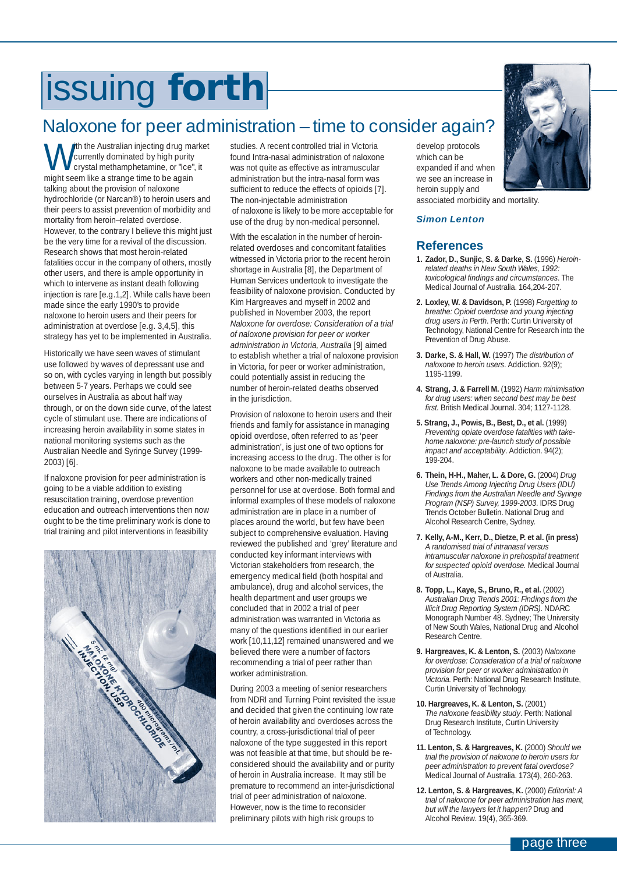# <span id="page-2-0"></span>issuing **forth**

### Naloxone for peer administration – time to consider again?

**W** the Australian injecting drug market<br>crystal methamphetamine, or "Ice", it<br>might seem like a strange time to be again. currently dominated by high purity might seem like a strange time to be again talking about the provision of naloxone hydrochloride (or Narcan®) to heroin users and their peers to assist prevention of morbidity and mortality from heroin–related overdose. However, to the contrary I believe this might just be the very time for a revival of the discussion. Research shows that most heroin-related fatalities occur in the company of others, mostly other users, and there is ample opportunity in which to intervene as instant death following injection is rare [e.g.1,2]. While calls have been made since the early 1990's to provide naloxone to heroin users and their peers for administration at overdose [e.g. 3,4,5], this strategy has yet to be implemented in Australia.

Historically we have seen waves of stimulant use followed by waves of depressant use and so on, with cycles varying in length but possibly between 5-7 years. Perhaps we could see ourselves in Australia as about half way through, or on the down side curve, of the latest cycle of stimulant use. There are indications of increasing heroin availability in some states in national monitoring systems such as the Australian Needle and Syringe Survey (1999- 2003) [6].

If naloxone provision for peer administration is going to be a viable addition to existing resuscitation training, overdose prevention education and outreach interventions then now ought to be the time preliminary work is done to trial training and pilot interventions in feasibility



studies. A recent controlled trial in Victoria found Intra-nasal administration of naloxone was not quite as effective as intramuscular administration but the intra-nasal form was sufficient to reduce the effects of opioids [7]. The non-injectable administration of naloxone is likely to be more acceptable for use of the drug by non-medical personnel.

With the escalation in the number of heroinrelated overdoses and concomitant fatalities witnessed in Victoria prior to the recent heroin shortage in Australia [8], the Department of Human Services undertook to investigate the feasibility of naloxone provision. Conducted by Kim Hargreaves and myself in 2002 and published in November 2003, the report *Naloxone for overdose: Consideration of a trial of naloxone provision for peer or worker administration in Victoria, Australia* [9] aimed to establish whether a trial of naloxone provision in Victoria, for peer or worker administration, could potentially assist in reducing the number of heroin-related deaths observed in the jurisdiction.

Provision of naloxone to heroin users and their friends and family for assistance in managing opioid overdose, often referred to as 'peer administration', is just one of two options for increasing access to the drug. The other is for naloxone to be made available to outreach workers and other non-medically trained personnel for use at overdose. Both formal and informal examples of these models of naloxone administration are in place in a number of places around the world, but few have been subject to comprehensive evaluation. Having reviewed the published and 'grey' literature and conducted key informant interviews with Victorian stakeholders from research, the emergency medical field (both hospital and ambulance), drug and alcohol services, the health department and user groups we concluded that in 2002 a trial of peer administration was warranted in Victoria as many of the questions identified in our earlier work [10,11,12] remained unanswered and we believed there were a number of factors recommending a trial of peer rather than worker administration.

During 2003 a meeting of senior researchers from NDRI and Turning Point revisited the issue and decided that given the continuing low rate of heroin availability and overdoses across the country, a cross-jurisdictional trial of peer naloxone of the type suggested in this report was not feasible at that time, but should be reconsidered should the availability and or purity of heroin in Australia increase. It may still be premature to recommend an inter-jurisdictional trial of peer administration of naloxone. However, now is the time to reconsider preliminary pilots with high risk groups to

develop protocols which can be expanded if and when we see an increase in heroin supply and



*Simon Lenton* 

### **References**

- **1. Zador, D., Sunjic, S. & Darke, S.** (1996) *Heroinrelated deaths in New South Wales, 1992: toxicological findings and circumstances*. The Medical Journal of Australia. 164,204-207.
- **2. Loxley, W. & Davidson, P.** (1998) *Forgetting to breathe: Opioid overdose and young injecting drug users in Perth*. Perth: Curtin University of Technology, National Centre for Research into the Prevention of Drug Abuse.
- **3. Darke, S. & Hall, W.** (1997) *The distribution of naloxone to heroin users*. Addiction. 92(9); 1195-1199.
- **4. Strang, J. & Farrell M.** (1992) *Harm minimisation for drug users: when second best may be best first.* British Medical Journal. 304; 1127-1128.
- **5. Strang, J., Powis, B., Best, D., et al.** (1999) *Preventing opiate overdose fatalities with takehome naloxone: pre-launch study of possible impact and acceptability*. Addiction. 94(2); 199-204.
- **6. Thein, H-H., Maher, L. & Dore, G.** (2004) *Drug Use Trends Among Injecting Drug Users (IDU) Findings from the Australian Needle and Syringe Program (NSP) Survey, 1999-2003*. IDRS Drug Trends October Bulletin. National Drug and Alcohol Research Centre, Sydney.
- **7. Kelly, A-M., Kerr, D., Dietze, P. et al. (in press)**  *A randomised trial of intranasal versus intramuscular naloxone in prehospital treatment for suspected opioid overdose.* Medical Journal of Australia.
- **8. Topp, L., Kaye, S., Bruno, R., et al.** (2002) *Australian Drug Trends 2001: Findings from the Illicit Drug Reporting System (IDRS)*. NDARC Monograph Number 48. Sydney; The University of New South Wales, National Drug and Alcohol Research Centre.
- **9. Hargreaves, K. & Lenton, S.** (2003) *Naloxone for overdose: Consideration of a trial of naloxone provision for peer or worker administration in Victoria.* Perth: National Drug Research Institute, Curtin University of Technology.
- **10. Hargreaves, K. & Lenton, S.** (2001) *The naloxone feasibility study*. Perth: National Drug Research Institute, Curtin University of Technology.
- **11. Lenton, S. & Hargreaves, K.** (2000) *Should we trial the provision of naloxone to heroin users for peer administration to prevent fatal overdose?* Medical Journal of Australia. 173(4), 260-263.
- **12. Lenton, S. & Hargreaves, K.** (2000) *Editorial: A trial of naloxone for peer administration has merit, but will the lawyers let it happen?* Drug and Alcohol Review. 19(4), 365-369.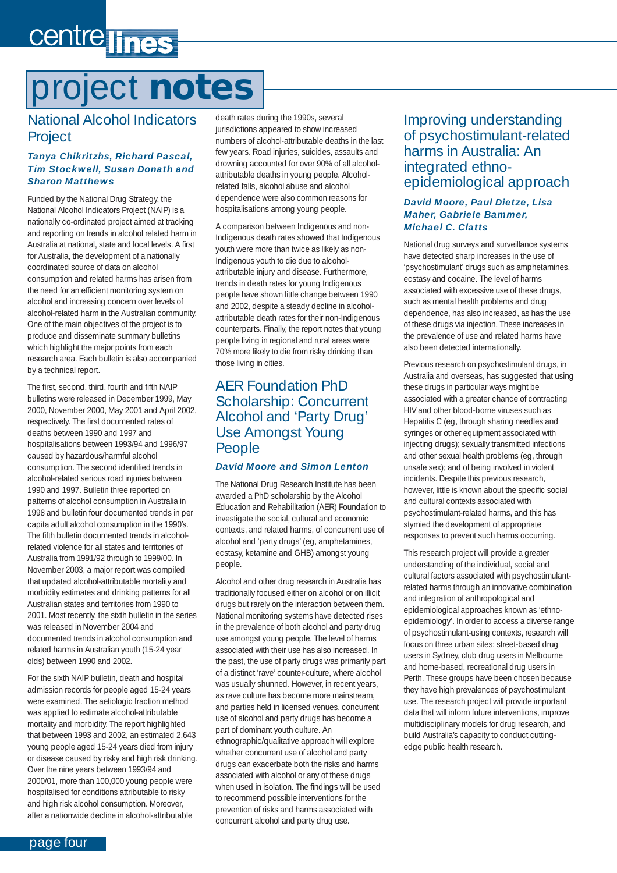# <span id="page-3-0"></span>centre lines

# project **notes**

### National Alcohol Indicators **Project**

### *Tanya Chikritzhs, Richard Pascal, Tim Stockwell, Susan Donath and Sharon Matthews*

Funded by the National Drug Strategy, the National Alcohol Indicators Project (NAIP) is a nationally co-ordinated project aimed at tracking and reporting on trends in alcohol related harm in Australia at national, state and local levels. A first for Australia, the development of a nationally coordinated source of data on alcohol consumption and related harms has arisen from the need for an efficient monitoring system on alcohol and increasing concern over levels of alcohol-related harm in the Australian community. One of the main objectives of the project is to produce and disseminate summary bulletins which highlight the major points from each research area. Each bulletin is also accompanied by a technical report.

The first, second, third, fourth and fifth NAIP bulletins were released in December 1999, May 2000, November 2000, May 2001 and April 2002, respectively. The first documented rates of deaths between 1990 and 1997 and hospitalisations between 1993/94 and 1996/97 caused by hazardous/harmful alcohol consumption. The second identified trends in alcohol-related serious road injuries between 1990 and 1997. Bulletin three reported on patterns of alcohol consumption in Australia in 1998 and bulletin four documented trends in per capita adult alcohol consumption in the 1990's. The fifth bulletin documented trends in alcoholrelated violence for all states and territories of Australia from 1991/92 through to 1999/00. In November 2003, a major report was compiled that updated alcohol-attributable mortality and morbidity estimates and drinking patterns for all Australian states and territories from 1990 to 2001. Most recently, the sixth bulletin in the series was released in November 2004 and documented trends in alcohol consumption and related harms in Australian youth (15-24 year olds) between 1990 and 2002.

For the sixth NAIP bulletin, death and hospital admission records for people aged 15-24 years were examined. The aetiologic fraction method was applied to estimate alcohol-attributable mortality and morbidity. The report highlighted that between 1993 and 2002, an estimated 2,643 young people aged 15-24 years died from injury or disease caused by risky and high risk drinking. Over the nine years between 1993/94 and 2000/01, more than 100,000 young people were hospitalised for conditions attributable to risky and high risk alcohol consumption. Moreover, after a nationwide decline in alcohol-attributable

death rates during the 1990s, several jurisdictions appeared to show increased numbers of alcohol-attributable deaths in the last few years. Road injuries, suicides, assaults and drowning accounted for over 90% of all alcoholattributable deaths in young people. Alcoholrelated falls, alcohol abuse and alcohol dependence were also common reasons for hospitalisations among young people.

A comparison between Indigenous and non-Indigenous death rates showed that Indigenous youth were more than twice as likely as non-Indigenous youth to die due to alcoholattributable injury and disease. Furthermore, trends in death rates for young Indigenous people have shown little change between 1990 and 2002, despite a steady decline in alcoholattributable death rates for their non-Indigenous counterparts. Finally, the report notes that young people living in regional and rural areas were 70% more likely to die from risky drinking than those living in cities.

### AER Foundation PhD Scholarship: Concurrent Alcohol and 'Party Drug' Use Amongst Young People

### *David Moore and Simon Lenton*

The National Drug Research Institute has been awarded a PhD scholarship by the Alcohol Education and Rehabilitation (AER) Foundation to investigate the social, cultural and economic contexts, and related harms, of concurrent use of alcohol and 'party drugs' (eg, amphetamines, ecstasy, ketamine and GHB) amongst young people.

Alcohol and other drug research in Australia has traditionally focused either on alcohol or on illicit drugs but rarely on the interaction between them. National monitoring systems have detected rises in the prevalence of both alcohol and party drug use amongst young people. The level of harms associated with their use has also increased. In the past, the use of party drugs was primarily part of a distinct 'rave' counter-culture, where alcohol was usually shunned. However, in recent years, as rave culture has become more mainstream, and parties held in licensed venues, concurrent use of alcohol and party drugs has become a part of dominant youth culture. An ethnographic/qualitative approach will explore whether concurrent use of alcohol and party drugs can exacerbate both the risks and harms associated with alcohol or any of these drugs when used in isolation. The findings will be used to recommend possible interventions for the prevention of risks and harms associated with concurrent alcohol and party drug use.

### Improving understanding of psychostimulant-related harms in Australia: An integrated ethnoepidemiological approach

#### *David Moore, Paul Dietze, Lisa Maher, Gabriele Bammer, Michael C. Clatts*

National drug surveys and surveillance systems have detected sharp increases in the use of 'psychostimulant' drugs such as amphetamines, ecstasy and cocaine. The level of harms associated with excessive use of these drugs, such as mental health problems and drug dependence, has also increased, as has the use of these drugs via injection. These increases in the prevalence of use and related harms have also been detected internationally.

Previous research on psychostimulant drugs, in Australia and overseas, has suggested that using these drugs in particular ways might be associated with a greater chance of contracting HIV and other blood-borne viruses such as Hepatitis C (eg, through sharing needles and syringes or other equipment associated with injecting drugs); sexually transmitted infections and other sexual health problems (eg, through unsafe sex); and of being involved in violent incidents. Despite this previous research, however, little is known about the specific social and cultural contexts associated with psychostimulant-related harms, and this has stymied the development of appropriate responses to prevent such harms occurring.

This research project will provide a greater understanding of the individual, social and cultural factors associated with psychostimulantrelated harms through an innovative combination and integration of anthropological and epidemiological approaches known as 'ethnoepidemiology'. In order to access a diverse range of psychostimulant-using contexts, research will focus on three urban sites: street-based drug users in Sydney, club drug users in Melbourne and home-based, recreational drug users in Perth. These groups have been chosen because they have high prevalences of psychostimulant use. The research project will provide important data that will inform future interventions, improve multidisciplinary models for drug research, and build Australia's capacity to conduct cuttingedge public health research.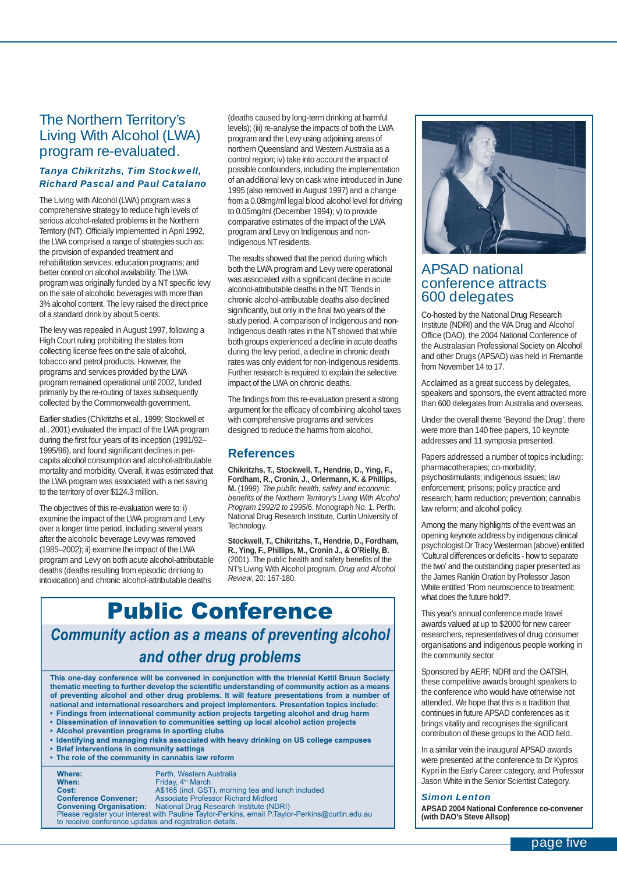### The Northern Territory's Living With Alcohol (LWA) program re-evaluated.

### *Tanya Chikritzhs, Tim Stockwell, Richard Pascal and Paul Catalano*

The Living with Alcohol (LWA) program was a comprehensive strategy to reduce high levels of serious alcohol-related problems in the Northern Territory (NT). Officially implemented in April 1992, the LWA comprised a range of strategies such as: the provision of expanded treatment and rehabilitation services; education programs; and better control on alcohol availability. The LWA program was originally funded by a NT specific levy on the sale of alcoholic beverages with more than 3% alcohol content. The levy raised the direct price of a standard drink by about 5 cents.

The levy was repealed in August 1997, following a High Court ruling prohibiting the states from collecting license fees on the sale of alcohol, tobacco and petrol products. However, the programs and services provided by the LWA program remained operational until 2002, funded primarily by the re-routing of taxes subsequently collected by the Commonwealth government.

Earlier studies (Chikritzhs et al., 1999; Stockwell et al., 2001) evaluated the impact of the LWA program during the first four years of its inception (1991/92– 1995/96), and found significant declines in percapita alcohol consumption and alcohol-attributable mortality and morbidity. Overall, it was estimated that the LWA program was associated with a net saving to the territory of over \$124.3 million.

The objectives of this re-evaluation were to: i) examine the impact of the LWA program and Levy over a longer time period, including several years after the alcoholic beverage Levy was removed (1985–2002); ii) examine the impact of the LWA program and Levy on both acute alcohol-attributable deaths (deaths resulting from episodic drinking to intoxication) and chronic alcohol-attributable deaths

(deaths caused by long-term drinking at harmful levels); (iii) re-analyse the impacts of both the LWA program and the Levy using adjoining areas of northern Queensland and Western Australia as a control region; iv) take into account the impact of possible confounders, including the implementation of an additional levy on cask wine introduced in June 1995 (also removed in August 1997) and a change from a 0.08mg/ml legal blood alcohol level for driving to 0.05mg/ml (December 1994); v) to provide comparative estimates of the impact of the LWA program and Levy on Indigenous and non-Indigenous NT residents.

The results showed that the period during which both the LWA program and Levy were operational was associated with a significant decline in acute alcohol-attributable deaths in the NT. Trends in chronic alcohol-attributable deaths also declined significantly, but only in the final two years of the study period. A comparison of Indigenous and non-Indigenous death rates in the NT showed that while both groups experienced a decline in acute deaths during the levy period, a decline in chronic death rates was only evident for non-Indigenous residents. Further research is required to explain the selective impact of the LWA on chronic deaths.

The findings from this re-evaluation present a strong argument for the efficacy of combining alcohol taxes with comprehensive programs and services designed to reduce the harms from alcohol.

### **References**

**Chikritzhs, T., Stockwell, T., Hendrie, D., Ying, F., Fordham, R., Cronin, J., Orlermann, K. & Phillips, M.** (1999). *The public health, safety and economic benefits of the Northern Territory's Living With Alcohol Program 1992/2 to 1995*/6. Monograph No. 1. Perth: National Drug Research Institute, Curtin University of Technology.

**Stockwell, T., Chikritzhs, T., Hendrie, D., Fordham, R., Ying, F., Phillips, M., Cronin J., & O'Rielly, B.** (2001). The public health and safety benefits of the NT's Living With Alcohol program. *Drug and Alcohol Review*, 20: 167-180.

## Public Conference *Community action as a means of preventing alcohol*

*and other drug problems*

**This one-day conference will be convened in conjunction with the triennial Kettil Bruun Society**  thematic meeting to further develop the scientific understanding of community action as a means **of preventing alcohol and other drug problems. It will feature presentations from a number of national and international researchers and project implementers. Presentation topics include: • Findings from international community action projects targeting alcohol and drug harm**

- **Dissemination of innovation to communities setting up local alcohol action projects**
- **Alcohol prevention programs in sporting clubs**
- **Identifying and managing risks associated with heavy drinking on US college campuses**
- **Brief interventions in community settings**
- **The role of the community in cannabis law reform**

**Where:** Perth, Western Australia<br> **When:** Friday. 4<sup>th</sup> March **When:** Friday, 4th March **Cost:** A\$165 (incl. GST), morning tea and lunch included **Conference Convener:** Associate Professor Richard Midford **Convening Organisation:** National Drug Research Institute (NDRI) **Conference Convener:** Associate Professor Richard Midford<br> **Convening Organisation:** National Drug Research Institute (NDRI)<br>
Please register your interest with Pauline Taylor-Perkins, email P.Taylor-Perkins@curtin.edu.au to receive conference updates and registration details.



### APSAD national conference attracts 600 delegates

Co-hosted by the National Drug Research Institute (NDRI) and the WA Drug and Alcohol Office (DAO), the 2004 National Conference of the Australasian Professional Society on Alcohol and other Drugs (APSAD) was held in Fremantle from November 14 to 17.

Acclaimed as a great success by delegates, speakers and sponsors, the event attracted more than 600 delegates from Australia and overseas.

Under the overall theme 'Beyond the Drug', there were more than 140 free papers, 10 keynote addresses and 11 symposia presented.

Papers addressed a number of topics including: pharmacotherapies; co-morbidity; psychostimulants; indigenous issues; law enforcement; prisons; policy practice and research; harm reduction; prevention; cannabis law reform; and alcohol policy.

Among the many highlights of the event was an opening keynote address by indigenous clinical psychologist Dr Tracy Westerman (above) entitled 'Cultural differences or deficits - how to separate the two' and the outstanding paper presented as the James Rankin Oration by Professor Jason White entitled 'From neuroscience to treatment: what does the future hold?'.

This year's annual conference made travel awards valued at up to \$2000 for new career researchers, representatives of drug consumer organisations and indigenous people working in the community sector.

Sponsored by AERF, NDRI and the OATSIH, these competitive awards brought speakers to the conference who would have otherwise not attended. We hope that this is a tradition that continues in future APSAD conferences as it brings vitality and recognises the significant contribution of these groups to the AOD field.

In a similar vein the inaugural APSAD awards were presented at the conference to Dr Kypros Kypri in the Early Career category, and Professor Jason White in the Senior Scientist Category.

#### *Simon Lenton*

**APSAD 2004 National Conference co-convener (with DAO's Steve Allsop)**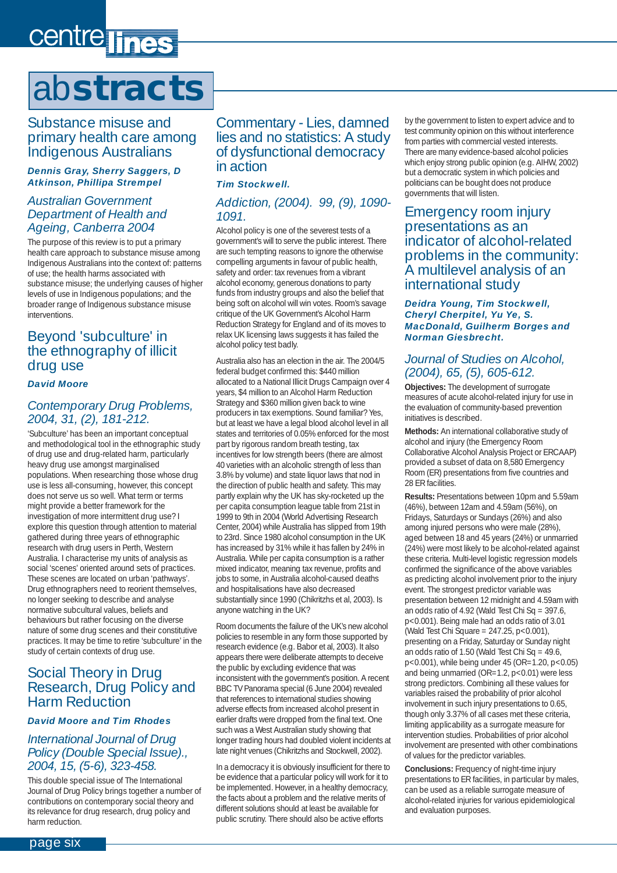# <span id="page-5-0"></span>centre lines

## ab**stracts**

Substance misuse and primary health care among Indigenous Australians

#### *Dennis Gray, Sherry Saggers, D Atkinson, Phillipa Strempel*

### *Australian Government Department of Health and Ageing, Canberra 2004*

The purpose of this review is to put a primary health care approach to substance misuse among Indigenous Australians into the context of: patterns of use; the health harms associated with substance misuse; the underlying causes of higher levels of use in Indigenous populations; and the broader range of Indigenous substance misuse interventions.

### Beyond 'subculture' in the ethnography of illicit drug use

#### *David Moore*

### *Contemporary Drug Problems, 2004, 31, (2), 181-212.*

'Subculture' has been an important conceptual and methodological tool in the ethnographic study of drug use and drug-related harm, particularly heavy drug use amongst marginalised populations. When researching those whose drug use is less all-consuming, however, this concept does not serve us so well. What term or terms might provide a better framework for the investigation of more intermittent drug use? I explore this question through attention to material gathered during three years of ethnographic research with drug users in Perth, Western Australia. I characterise my units of analysis as social 'scenes' oriented around sets of practices. These scenes are located on urban 'pathways'. Drug ethnographers need to reorient themselves, no longer seeking to describe and analyse normative subcultural values, beliefs and behaviours but rather focusing on the diverse nature of some drug scenes and their constitutive practices. It may be time to retire 'subculture' in the study of certain contexts of drug use.

### Social Theory in Drug Research, Drug Policy and Harm Reduction

### *David Moore and Tim Rhodes*

### *International Journal of Drug Policy (Double Special Issue)., 2004, 15, (5-6), 323-458.*

This double special issue of The International Journal of Drug Policy brings together a number of contributions on contemporary social theory and its relevance for drug research, drug policy and harm reduction.

Commentary - Lies, damned lies and no statistics: A study of dysfunctional democracy in action

### *Tim Stockwell.*

### *Addiction, (2004). 99, (9), 1090- 1091.*

Alcohol policy is one of the severest tests of a government's will to serve the public interest. There are such tempting reasons to ignore the otherwise compelling arguments in favour of public health, safety and order: tax revenues from a vibrant alcohol economy, generous donations to party funds from industry groups and also the belief that being soft on alcohol will win votes. Room's savage critique of the UK Government's Alcohol Harm Reduction Strategy for England and of its moves to relax UK licensing laws suggests it has failed the alcohol policy test badly.

Australia also has an election in the air. The 2004/5 federal budget confirmed this: \$440 million allocated to a National Illicit Drugs Campaign over 4 years, \$4 million to an Alcohol Harm Reduction Strategy and \$360 million given back to wine producers in tax exemptions. Sound familiar? Yes, but at least we have a legal blood alcohol level in all states and territories of 0.05% enforced for the most part by rigorous random breath testing, tax incentives for low strength beers (there are almost 40 varieties with an alcoholic strength of less than 3.8% by volume) and state liquor laws that nod in the direction of public health and safety. This may partly explain why the UK has sky-rocketed up the per capita consumption league table from 21st in 1999 to 9th in 2004 (World Advertising Research Center, 2004) while Australia has slipped from 19th to 23rd. Since 1980 alcohol consumption in the UK has increased by 31% while it has fallen by 24% in Australia. While per capita consumption is a rather mixed indicator, meaning tax revenue, profits and jobs to some, in Australia alcohol-caused deaths and hospitalisations have also decreased substantially since 1990 (Chikritzhs et al, 2003). Is anyone watching in the UK?

Room documents the failure of the UK's new alcohol policies to resemble in any form those supported by research evidence (e.g. Babor et al, 2003). It also appears there were deliberate attempts to deceive the public by excluding evidence that was inconsistent with the government's position. A recent BBC TV Panorama special (6 June 2004) revealed that references to international studies showing adverse effects from increased alcohol present in earlier drafts were dropped from the final text. One such was a West Australian study showing that longer trading hours had doubled violent incidents at late night venues (Chikritzhs and Stockwell, 2002).

In a democracy it is obviously insufficient for there to be evidence that a particular policy will work for it to be implemented. However, in a healthy democracy, the facts about a problem and the relative merits of different solutions should at least be available for public scrutiny. There should also be active efforts

by the government to listen to expert advice and to test community opinion on this without interference from parties with commercial vested interests. There are many evidence-based alcohol policies which enjoy strong public opinion (e.g. AIHW, 2002) but a democratic system in which policies and politicians can be bought does not produce governments that will listen.

### Emergency room injury presentations as an indicator of alcohol-related problems in the community: A multilevel analysis of an international study

#### *Deidra Young, Tim Stockwell, Cheryl Cherpitel, Yu Ye, S. MacDonald, Guilherm Borges and Norman Giesbrecht.*

### *Journal of Studies on Alcohol, (2004), 65, (5), 605-612.*

**Objectives:** The development of surrogate measures of acute alcohol-related injury for use in the evaluation of community-based prevention initiatives is described.

**Methods:** An international collaborative study of alcohol and injury (the Emergency Room Collaborative Alcohol Analysis Project or ERCAAP) provided a subset of data on 8,580 Emergency Room (ER) presentations from five countries and 28 ER facilities.

**Results:** Presentations between 10pm and 5.59am (46%), between 12am and 4.59am (56%), on Fridays, Saturdays or Sundays (26%) and also among injured persons who were male (28%), aged between 18 and 45 years (24%) or unmarried (24%) were most likely to be alcohol-related against these criteria. Multi-level logistic regression models confirmed the significance of the above variables as predicting alcohol involvement prior to the injury event. The strongest predictor variable was presentation between 12 midnight and 4.59am with an odds ratio of 4.92 (Wald Test Chi Sq = 397.6, p<0.001). Being male had an odds ratio of 3.01 (Wald Test Chi Square = 247.25, p<0.001), presenting on a Friday, Saturday or Sunday night an odds ratio of 1.50 (Wald Test Chi Sq =  $49.6$ ) p<0.001), while being under 45 (OR=1.20, p<0.05) and being unmarried (OR=1.2, p<0.01) were less strong predictors. Combining all these values for variables raised the probability of prior alcohol involvement in such injury presentations to 0.65, though only 3.37% of all cases met these criteria, limiting applicability as a surrogate measure for intervention studies. Probabilities of prior alcohol involvement are presented with other combinations of values for the predictor variables.

**Conclusions:** Frequency of night-time injury presentations to ER facilities, in particular by males, can be used as a reliable surrogate measure of alcohol-related injuries for various epidemiological and evaluation purposes.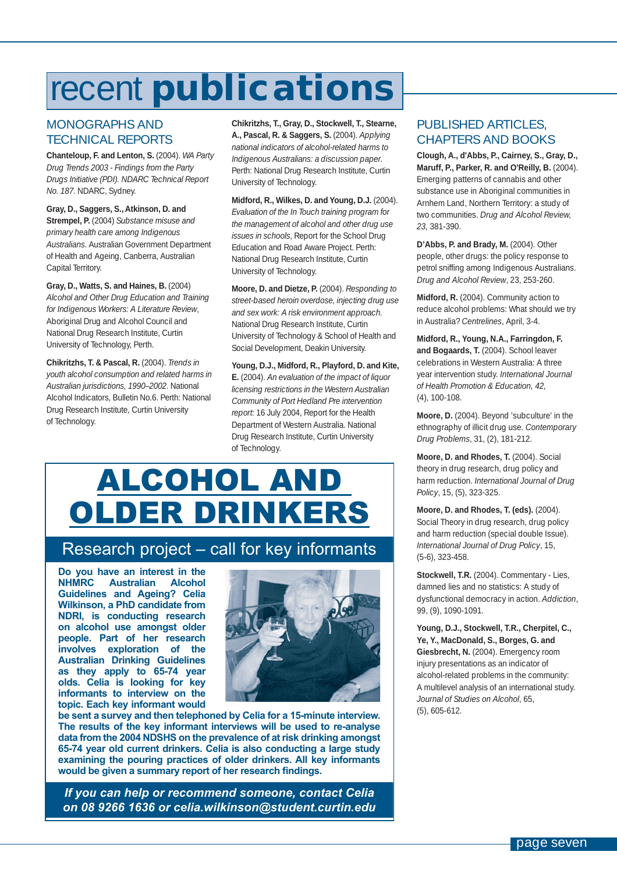## <span id="page-6-0"></span>recent **publications**

### MONOGRAPHS AND TECHNICAL REPORTS

**Chanteloup, F. and Lenton, S.** (2004). *WA Party Drug Trends 2003 - Findings from the Party Drugs Initiative (PDI). NDARC Technical Report No. 187*. NDARC, Sydney.

**Gray, D., Saggers, S., Atkinson, D. and Strempel, P.** (2004) *Substance misuse and primary health care among Indigenous Australians*. Australian Government Department of Health and Ageing, Canberra, Australian Capital Territory.

**Gray, D., Watts, S. and Haines, B.** (2004) *Alcohol and Other Drug Education and Training for Indigenous Workers: A Literature Review*, Aboriginal Drug and Alcohol Council and National Drug Research Institute, Curtin University of Technology, Perth.

**Chikritzhs, T. & Pascal, R.** (2004). *Trends in youth alcohol consumption and related harms in Australian jurisdictions, 1990–2002*. National Alcohol Indicators, Bulletin No.6. Perth: National Drug Research Institute, Curtin University of Technology.

**Chikritzhs, T., Gray, D., Stockwell, T., Stearne, A., Pascal, R. & Saggers, S.** (2004). *Applying national indicators of alcohol-related harms to Indigenous Australians: a discussion paper*. Perth: National Drug Research Institute, Curtin University of Technology.

**Midford, R., Wilkes, D. and Young, D.J.** (2004). *Evaluation of the In Touch training program for the management of alcohol and other drug use issues in schools*, Report for the School Drug Education and Road Aware Project. Perth: National Drug Research Institute, Curtin University of Technology.

**Moore, D. and Dietze, P.** (2004). *Responding to street-based heroin overdose, injecting drug use and sex work: A risk environment approach.* National Drug Research Institute, Curtin University of Technology & School of Health and Social Development, Deakin University.

**Young, D.J., Midford, R., Playford, D. and Kite, E.** (2004). *An evaluation of the impact of liquor licensing restrictions in the Western Australian Community of Port Hedland Pre intervention report*: 16 July 2004, Report for the Health Department of Western Australia. National Drug Research Institute, Curtin University of Technology.

## ALCOHOL AND OLDER DRINKERS

### Research project – call for key informants

**Do you have an interest in the Australian Guidelines and Ageing? Celia Wilkinson, a PhD candidate from NDRI, is conducting research on alcohol use amongst older people. Part of her research involves exploration of the Australian Drinking Guidelines as they apply to 65-74 year olds. Celia is looking for key informants to interview on the topic. Each key informant would** 



**be sent a survey and then telephoned by Celia for a 15-minute interview. The results of the key informant interviews will be used to re-analyse data from the 2004 NDSHS on the prevalence of at risk drinking amongst 65-74 year old current drinkers. Celia is also conducting a large study examining the pouring practices of older drinkers. All key informants**  would be given a summary report of her research findings.

*If you can help or recommend someone, contact Celia on 08 9266 1636 or celia.wilkinson@student.curtin.edu*

### PUBLISHED ARTICLES, CHAPTERS AND BOOKS

**Clough, A., d'Abbs, P., Cairney, S., Gray, D., Maruff, P., Parker, R. and O'Reilly, B.** (2004). Emerging patterns of cannabis and other substance use in Aboriginal communities in Arnhem Land, Northern Territory: a study of two communities. *Drug and Alcohol Review, 23,* 381-390.

D'Abbs, P. and Brady, M. (2004). Other people, other drugs: the policy response to petrol sniffing among Indigenous Australians. *Drug and Alcohol Review*, 23, 253-260.

**Midford, R.** (2004). Community action to reduce alcohol problems: What should we try in Australia? *Centrelines*, April, 3-4.

**Midford, R., Young, N.A., Farringdon, F.** and Bogaards, T. (2004). School leaver celebrations in Western Australia: A three year intervention study. *International Journal of Health Promotion & Education, 42,*  (4), 100-108.

**Moore, D.** (2004). Beyond 'subculture' in the ethnography of illicit drug use. *Contemporary Drug Problems*, 31, (2), 181-212.

Moore, D. and Rhodes, T. (2004). Social theory in drug research, drug policy and harm reduction. *International Journal of Drug Policy*, 15, (5), 323-325.

**Moore, D. and Rhodes, T. (eds).** (2004). Social Theory in drug research, drug policy and harm reduction (special double Issue). *International Journal of Drug Policy*, 15, (5-6), 323-458.

**Stockwell, T.R.** (2004). Commentary - Lies, damned lies and no statistics: A study of dysfunctional democracy in action. *Addiction*, 99, (9), 1090-1091.

**Young, D.J., Stockwell, T.R., Cherpitel, C., Ye, Y., MacDonald, S., Borges, G. and Giesbrecht, N.** (2004). Emergency room injury presentations as an indicator of alcohol-related problems in the community: A multilevel analysis of an international study. *Journal of Studies on Alcohol*, 65, (5), 605-612.